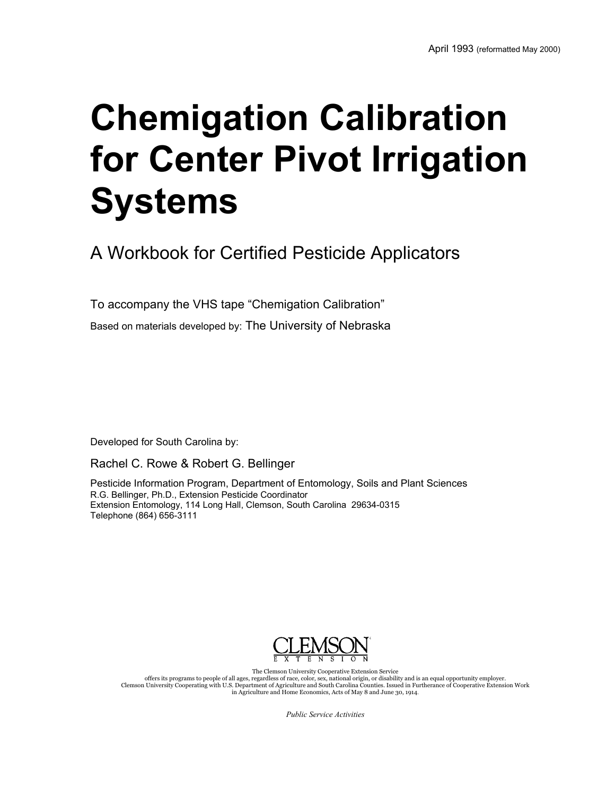# **Chemigation Calibration for Center Pivot Irrigation Systems**

A Workbook for Certified Pesticide Applicators

To accompany the VHS tape "Chemigation Calibration"

Based on materials developed by: The University of Nebraska

Developed for South Carolina by:

Rachel C. Rowe & Robert G. Bellinger

Pesticide Information Program, Department of Entomology, Soils and Plant Sciences R.G. Bellinger, Ph.D., Extension Pesticide Coordinator Extension Entomology, 114 Long Hall, Clemson, South Carolina 29634-0315 Telephone (864) 656-3111



The Clemson University Cooperative Extension Service offers its programs to people of all ages, regardless of race, color, sex, national origin, or disability and is an equal opportunity employer.<br>Clemson University Cooperating with U.S. Department of Agriculture and South C in Agriculture and Home Economics, Acts of May 8 and June 30, 1914.

*Public Service Activities*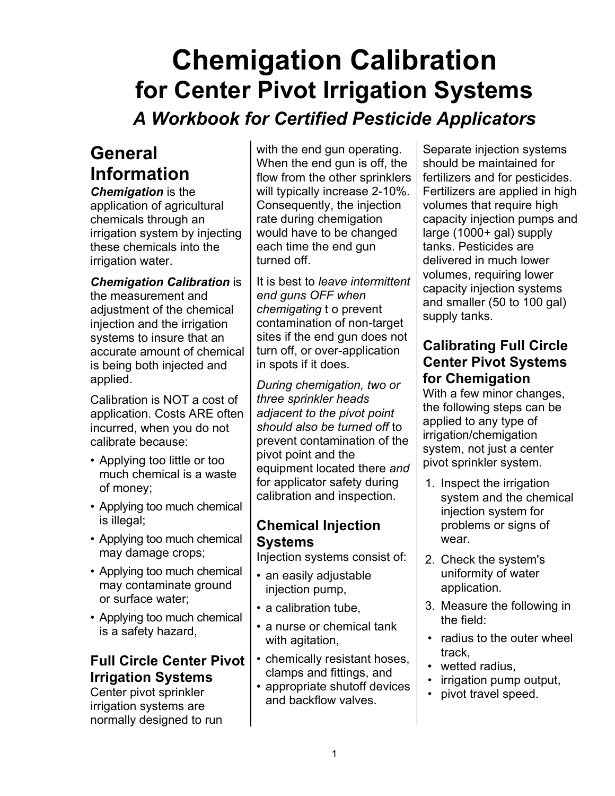## **Chemigation Calibration for Center Pivot Irrigation Systems**

## *A Workbook for Certified Pesticide Applicators*

## **General Information**

*Chemigation* is the application of agricultural chemicals through an irrigation system by injecting these chemicals into the irrigation water.

*Chemigation Calibration* is the measurement and adjustment of the chemical injection and the irrigation systems to insure that an accurate amount of chemical is being both injected and applied.

Calibration is NOT a cost of application. Costs ARE often incurred, when you do not calibrate because:

- Applying too little or too much chemical is a waste of money;
- Applying too much chemical is illegal;
- Applying too much chemical may damage crops;
- Applying too much chemical may contaminate ground or surface water;
- Applying too much chemical is a safety hazard,

## **Full Circle Center Pivot Irrigation Systems**

Center pivot sprinkler irrigation systems are normally designed to run with the end gun operating.  $\vert$  Separate injection systems When the end gun is off, the  $\parallel$  should be maintained for flow from the other sprinklers  $\vert$  fertilizers and for pesticides. Consequently, the injection  $\parallel$  volumes that require high would have to be changed  $\vert$  large (1000+ gal) supply each time the end gun altanks. Pesticides are turned off. The state of the lower delivered in much lower

It is best to *leave intermittent end guns OFF when chemigating* t o prevent contamination of non-target sites if the end gun does not turn off, or over-application in spots if it does.

*During chemigation, two or three sprinkler heads adjacent to the pivot point should also be turned off* to prevent contamination of the pivot point and the equipment located there *and* for applicator safety during calibration and inspection.

## **Chemical Injection Systems**

Injection systems consist of:

- an easily adjustable injection pump,
- a calibration tube,
- a nurse or chemical tank with agitation,
- chemically resistant hoses, clamps and fittings, and
- appropriate shutoff devices and backflow valves.

will typically increase 2-10%. Fertilizers are applied in high rate during chemigation | capacity injection pumps and volumes, requiring lower capacity injection systems and smaller (50 to 100 gal) supply tanks.

## **Calibrating Full Circle Center Pivot Systems for Chemigation**

With a few minor changes. the following steps can be applied to any type of irrigation/chemigation system, not just a center pivot sprinkler system.

- 1. Inspect the irrigation system and the chemical injection system for problems or signs of wear.
- 2. Check the system's uniformity of water application.
- 3. Measure the following in the field:
- radius to the outer wheel track,
- wetted radius,
- irrigation pump output,
- pivot travel speed.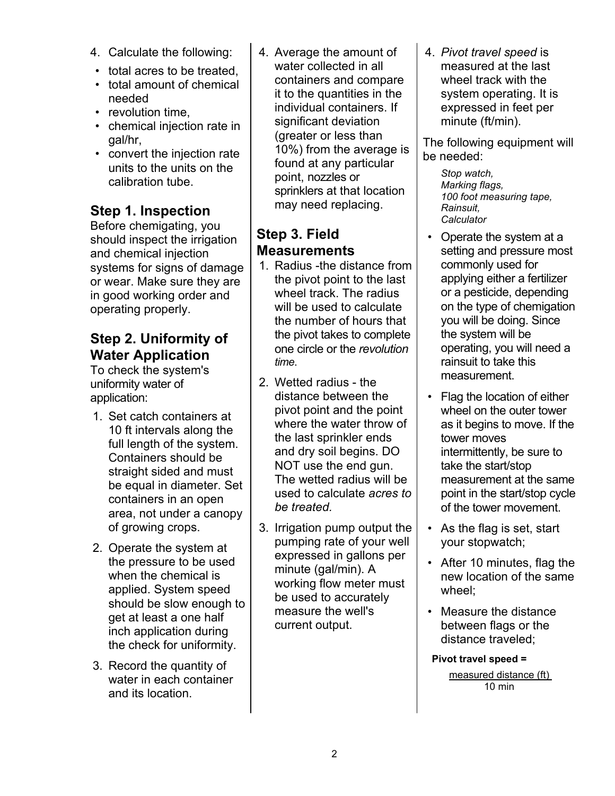- 
- total acres to be treated,
- total amount of chemical needed
- revolution time,
- chemical injection rate in gal/hr,
- convert the injection rate units to the units on the calibration tube.

## **Step 1. Inspection**

Before chemigating, you should inspect the irrigation and chemical injection systems for signs of damage or wear. Make sure they are in good working order and operating properly.

### **Step 2. Uniformity of Water Application**

To check the system's uniformity water of application:

- 1. Set catch containers at 10 ft intervals along the full length of the system. Containers should be straight sided and must be equal in diameter. Set containers in an open area, not under a canopy of growing crops.
- 2. Operate the system at the pressure to be used when the chemical is applied. System speed should be slow enough to get at least a one half inch application during the check for uniformity.
- 3. Record the quantity of water in each container and its location.

4. Calculate the following: 4. Average the amount of 4. *Pivot travel speed* is water collected in all **neasured** at the last containers and compare  $\parallel$  wheel track with the it to the quantities in the  $\parallel$  system operating. It is individual containers. If  $\parallel$  expressed in feet per significant deviation  $\vert$  minute (ft/min). (greater or less than 10%) from the average is found at any particular point, nozzles or sprinklers at that location may need replacing.

## **Step 3. Field Measurements**

- 1. Radius -the distance from the pivot point to the last wheel track. The radius will be used to calculate the number of hours that the pivot takes to complete one circle or the *revolution time*.
- 2. Wetted radius the distance between the pivot point and the point where the water throw of the last sprinkler ends and dry soil begins. DO NOT use the end gun. The wetted radius will be used to calculate *acres to be treated.*
- 3. Irrigation pump output the pumping rate of your well expressed in gallons per minute (gal/min). A working flow meter must be used to accurately measure the well's current output.

The following equipment will be needed:

> *Stop watch, Marking flags, 100 foot measuring tape, Rainsuit, Calculator*

- Operate the system at a setting and pressure most commonly used for applying either a fertilizer or a pesticide, depending on the type of chemigation you will be doing. Since the system will be operating, you will need a rainsuit to take this measurement.
- Flag the location of either wheel on the outer tower as it begins to move. If the tower moves intermittently, be sure to take the start/stop measurement at the same point in the start/stop cycle of the tower movement.
- As the flag is set, start your stopwatch;
- After 10 minutes, flag the new location of the same wheel;
- Measure the distance between flags or the distance traveled;

## **Pivot travel speed =**

measured distance (ft) 10 min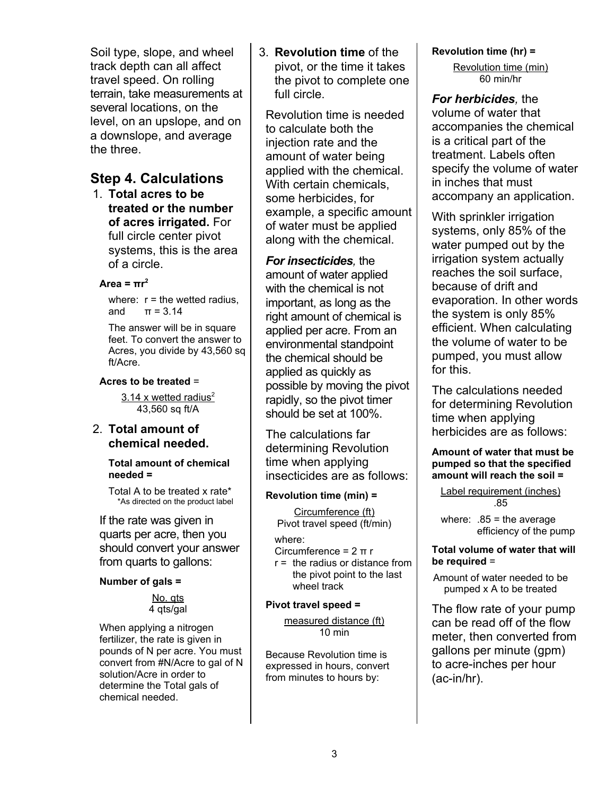Soil type, slope, and wheel track depth can all affect travel speed. On rolling terrain, take measurements at several locations, on the level, on an upslope, and on a downslope, and average the three.

### **Step 4. Calculations**

1. **Total acres to be treated or the number of acres irrigated.** For full circle center pivot systems, this is the area of a circle.

#### **Area = πr 2**

where:  $r =$  the wetted radius,<br>and  $\pi = 3.14$  $\pi = 3.14$ 

The answer will be in square feet. To convert the answer to Acres, you divide by 43,560 sq ft/Acre.

#### **Acres to be treated** =

3.14 x wetted radius<sup>2</sup> 43,560 sq ft/A

#### 2. **Total amount of chemical needed.**

**Total amount of chemical needed =**

 Total A to be treated x rate\* \*As directed on the product label

If the rate was given in quarts per acre, then you should convert your answer from quarts to gallons:

#### **Number of gals =**

No. qts 4 qts/gal

When applying a nitrogen fertilizer, the rate is given in pounds of N per acre. You must convert from #N/Acre to gal of N solution/Acre in order to determine the Total gals of chemical needed.

3. **Revolution time** of the pivot, or the time it takes the pivot to complete one full circle.

Revolution time is needed to calculate both the injection rate and the amount of water being applied with the chemical. With certain chemicals, some herbicides, for example, a specific amount of water must be applied along with the chemical.

*For insecticides,* the amount of water applied with the chemical is not important, as long as the right amount of chemical is applied per acre. From an environmental standpoint the chemical should be applied as quickly as possible by moving the pivot rapidly, so the pivot timer should be set at 100%.

The calculations far determining Revolution time when applying insecticides are as follows:

#### **Revolution time (min) =**

Circumference (ft) Pivot travel speed (ft/min)

where:

- Circumference = 2 π r
- $r =$  the radius or distance from the pivot point to the last wheel track

#### **Pivot travel speed =**

measured distance (ft) 10 min

Because Revolution time is expressed in hours, convert from minutes to hours by:

**Revolution time (hr) =**

Revolution time (min) 60 min/hr

*For herbicides,* the volume of water that accompanies the chemical is a critical part of the treatment. Labels often specify the volume of water in inches that must accompany an application.

With sprinkler irrigation systems, only 85% of the water pumped out by the irrigation system actually reaches the soil surface, because of drift and evaporation. In other words the system is only 85% efficient. When calculating the volume of water to be pumped, you must allow for this.

The calculations needed for determining Revolution time when applying herbicides are as follows:

#### **Amount of water that must be pumped so that the specified amount will reach the soil =**

Label requirement (inches) .85

where:  $.85 =$  the average efficiency of the pump

#### **Total volume of water that will be required** =

Amount of water needed to be pumped x A to be treated

The flow rate of your pump can be read off of the flow meter, then converted from gallons per minute (gpm) to acre-inches per hour (ac-in/hr).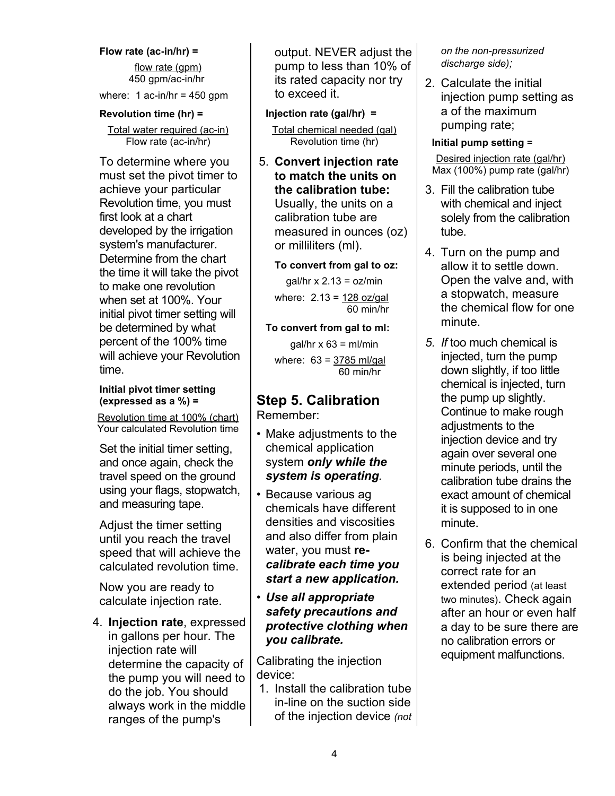#### **Flow rate (ac-in/hr) =** flow rate (gpm) 450 gpm/ac-in/hr

where: 1 ac-in/hr =  $450$  gpm

#### **Revolution time (hr) =**

Total water required (ac-in) Flow rate (ac-in/hr)

To determine where you must set the pivot timer to achieve your particular Revolution time, you must first look at a chart developed by the irrigation system's manufacturer. Determine from the chart the time it will take the pivot to make one revolution when set at 100%. Your initial pivot timer setting will be determined by what percent of the 100% time will achieve your Revolution time.

#### **Initial pivot timer setting (expressed as a %) =**

Revolution time at 100% (chart) Your calculated Revolution time

Set the initial timer setting, and once again, check the travel speed on the ground using your flags, stopwatch, and measuring tape.

Adjust the timer setting until you reach the travel speed that will achieve the calculated revolution time.

Now you are ready to calculate injection rate.

4. **Injection rate**, expressed in gallons per hour. The injection rate will determine the capacity of the pump you will need to do the job. You should always work in the middle ranges of the pump's

output. NEVER adjust the pump to less than 10% of its rated capacity nor try to exceed it.

**Injection rate (gal/hr) =**

Total chemical needed (gal) Revolution time (hr)

5. **Convert injection rate to match the units on** Usually, the units on a calibration tube are measured in ounces (oz) or milliliters (ml).

**To convert from gal to oz:**

 $gal/hr \times 2.13 = oz/min$ 

where:  $2.13 = 128$  oz/gal 60 min/hr

**To convert from gal to ml:**

 $qal/hr \times 63 = ml/min$ 

where:  $63 = 3785$  ml/gal 60 min/hr

## **Step 5. Calibration**

Remember:

- Make adjustments to the chemical application system *only while the system is operating.*
- Because various ag chemicals have different densities and viscosities and also differ from plain water, you must **re***calibrate each time you start a new application.*
- *• Use all appropriate safety precautions and protective clothing when you calibrate.*

Calibrating the injection device:

1. Install the calibration tube in-line on the suction side of the injection device *(not* *on the non-pressurized discharge side);*

2. Calculate the initial injection pump setting as a of the maximum pumping rate;

**Initial pump setting** =

Desired injection rate (gal/hr) Max (100%) pump rate (gal/hr)

- **the calibration tube:** 3. Fill the calibration tube with chemical and inject solely from the calibration tube.
	- 4. Turn on the pump and allow it to settle down. Open the valve and, with a stopwatch, measure the chemical flow for one minute.
	- *5. If* too much chemical is injected, turn the pump down slightly, if too little chemical is injected, turn the pump up slightly. Continue to make rough adjustments to the injection device and try again over several one minute periods, until the calibration tube drains the exact amount of chemical it is supposed to in one minute.
	- 6. Confirm that the chemical is being injected at the correct rate for an extended period (at least two minutes). Check again after an hour or even half a day to be sure there are no calibration errors or equipment malfunctions.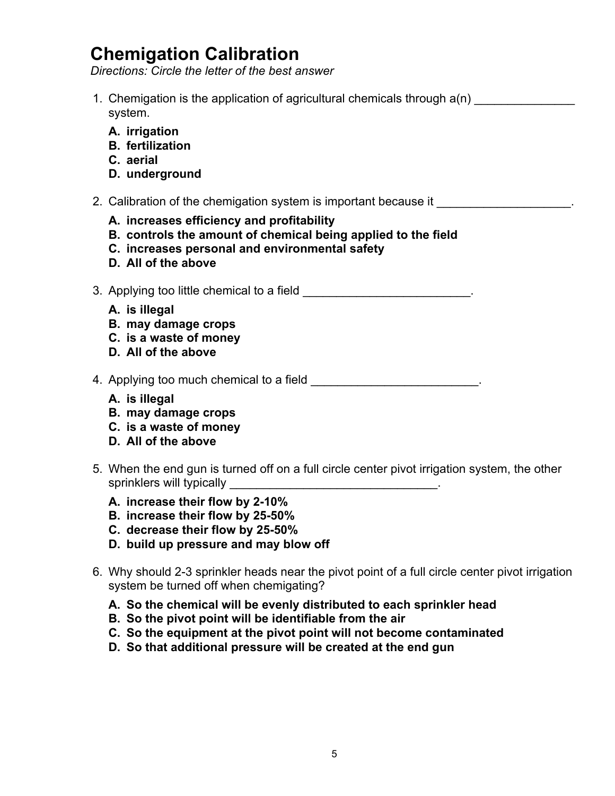## **Chemigation Calibration**

*Directions: Circle the letter of the best answer*

- 1. Chemigation is the application of agricultural chemicals through  $a(n)$ system.
	- **A. irrigation**
	- **B. fertilization**
	- **C. aerial**
	- **D. underground**
- 2. Calibration of the chemigation system is important because it
	- **A. increases efficiency and profitability**
	- **B. controls the amount of chemical being applied to the field**
	- **C. increases personal and environmental safety**
	- **D. All of the above**
- 3. Applying too little chemical to a field **Solution Contains a set of the set of the set of the set of the set o** 
	- **A. is illegal**
	- **B. may damage crops**
	- **C. is a waste of money**
	- **D. All of the above**

4. Applying too much chemical to a field **All and Taylor Contract Contract Contract** 2.

- **A. is illegal**
- **B. may damage crops**
- **C. is a waste of money**
- **D. All of the above**
- 5. When the end gun is turned off on a full circle center pivot irrigation system, the other sprinklers will typically
	- **A. increase their flow by 2-10%**
	- **B. increase their flow by 25-50%**
	- **C. decrease their flow by 25-50%**
	- **D. build up pressure and may blow off**
- 6. Why should 2-3 sprinkler heads near the pivot point of a full circle center pivot irrigation system be turned off when chemigating?
	- **A. So the chemical will be evenly distributed to each sprinkler head**
	- **B. So the pivot point will be identifiable from the air**
	- **C. So the equipment at the pivot point will not become contaminated**
	- **D. So that additional pressure will be created at the end gun**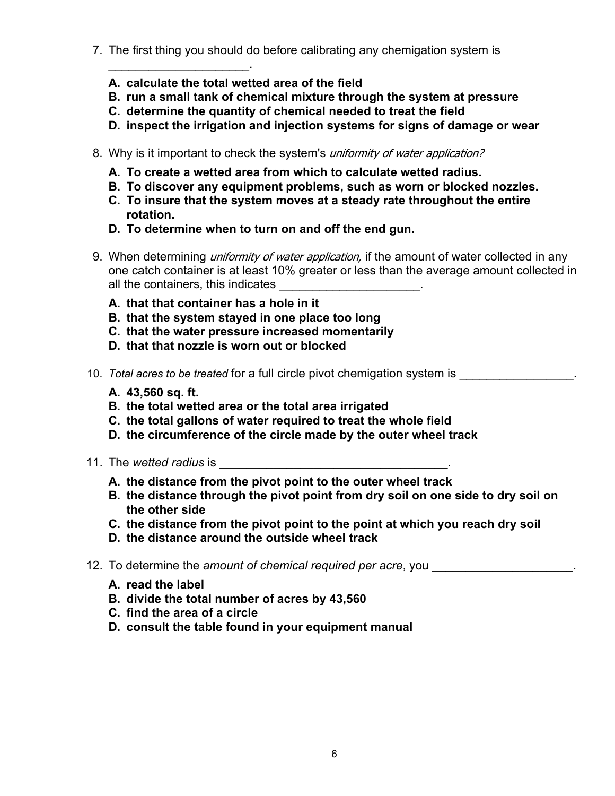- 7. The first thing you should do before calibrating any chemigation system is
	- **A. calculate the total wetted area of the field**

 $\mathcal{L}_\text{max}$  , we have the set of the set of the set of the set of the set of the set of the set of the set of the set of the set of the set of the set of the set of the set of the set of the set of the set of the set of

- **B. run a small tank of chemical mixture through the system at pressure**
- **C. determine the quantity of chemical needed to treat the field**
- **D. inspect the irrigation and injection systems for signs of damage or wear**
- 8. Why is it important to check the system's *uniformity of water application?* 
	- **A. To create a wetted area from which to calculate wetted radius.**
	- **B. To discover any equipment problems, such as worn or blocked nozzles.**
	- **C. To insure that the system moves at a steady rate throughout the entire rotation.**
	- **D. To determine when to turn on and off the end gun.**
- 9. When determining *uniformity of water application*, if the amount of water collected in any one catch container is at least 10% greater or less than the average amount collected in all the containers, this indicates
	- **A. that that container has a hole in it**
	- **B. that the system stayed in one place too long**
	- **C. that the water pressure increased momentarily**
	- **D. that that nozzle is worn out or blocked**
- 10. *Total acres to be treated* for a full circle pivot chemigation system is
	- **A. 43,560 sq. ft.**
	- **B. the total wetted area or the total area irrigated**
	- **C. the total gallons of water required to treat the whole field**
	- **D. the circumference of the circle made by the outer wheel track**
- 11. The *wetted radius* is
	- **A. the distance from the pivot point to the outer wheel track**
	- **B. the distance through the pivot point from dry soil on one side to dry soil on the other side**
	- **C. the distance from the pivot point to the point at which you reach dry soil**
	- **D. the distance around the outside wheel track**
- 12. To determine the *amount of chemical required per acre*, you
	- **A. read the label**
	- **B. divide the total number of acres by 43,560**
	- **C. find the area of a circle**
	- **D. consult the table found in your equipment manual**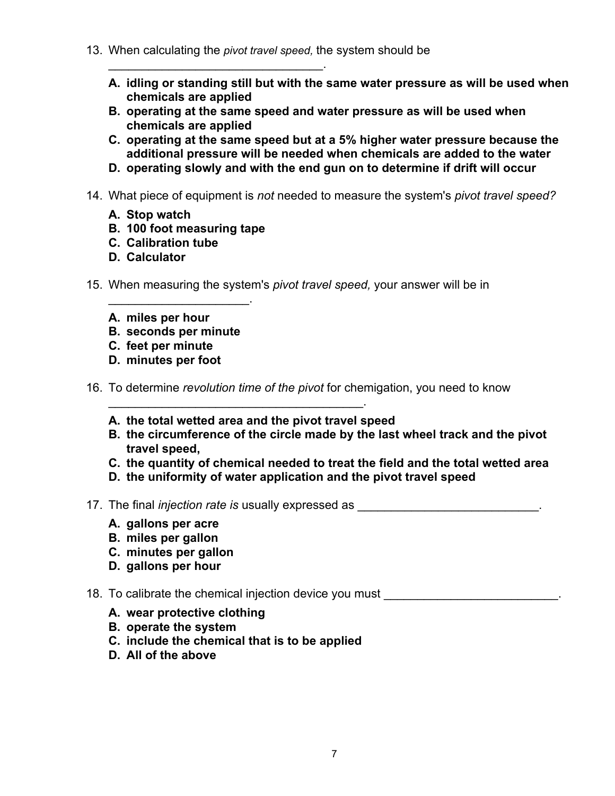13. When calculating the *pivot travel speed,* the system should be

 $\mathcal{L}_\text{max}$  , where  $\mathcal{L}_\text{max}$  and  $\mathcal{L}_\text{max}$  and  $\mathcal{L}_\text{max}$ 

- **A. idling or standing still but with the same water pressure as will be used when chemicals are applied**
- **B. operating at the same speed and water pressure as will be used when chemicals are applied**
- **C. operating at the same speed but at a 5% higher water pressure because the additional pressure will be needed when chemicals are added to the water**
- **D. operating slowly and with the end gun on to determine if drift will occur**
- 14. What piece of equipment is *not* needed to measure the system's *pivot travel speed?*
	- **A. Stop watch**
	- **B. 100 foot measuring tape**
	- **C. Calibration tube**
	- **D. Calculator**
- 15. When measuring the system's *pivot travel speed,* your answer will be in
	- **A. miles per hour**
	- **B. seconds per minute**

 $\mathcal{L}=\mathcal{L}^{\mathcal{L}}$ 

- **C. feet per minute**
- **D. minutes per foot**
- 16. To determine *revolution time of the pivot* for chemigation, you need to know
	- **A. the total wetted area and the pivot travel speed**

\_\_\_\_\_\_\_\_\_\_\_\_\_\_\_\_\_\_\_\_\_\_\_\_\_\_\_\_\_\_\_\_\_\_\_\_\_\_.

- **B. the circumference of the circle made by the last wheel track and the pivot travel speed,**
- **C. the quantity of chemical needed to treat the field and the total wetted area**
- **D. the uniformity of water application and the pivot travel speed**
- 17. The final *injection rate is* usually expressed as **EXACLE 2008** 
	- **A. gallons per acre**
	- **B. miles per gallon**
	- **C. minutes per gallon**
	- **D. gallons per hour**
- 18. To calibrate the chemical injection device you must \_\_\_\_\_\_\_\_\_\_\_\_\_\_\_\_\_\_\_\_\_\_\_\_
	- **A. wear protective clothing**
	- **B. operate the system**
	- **C. include the chemical that is to be applied**
	- **D. All of the above**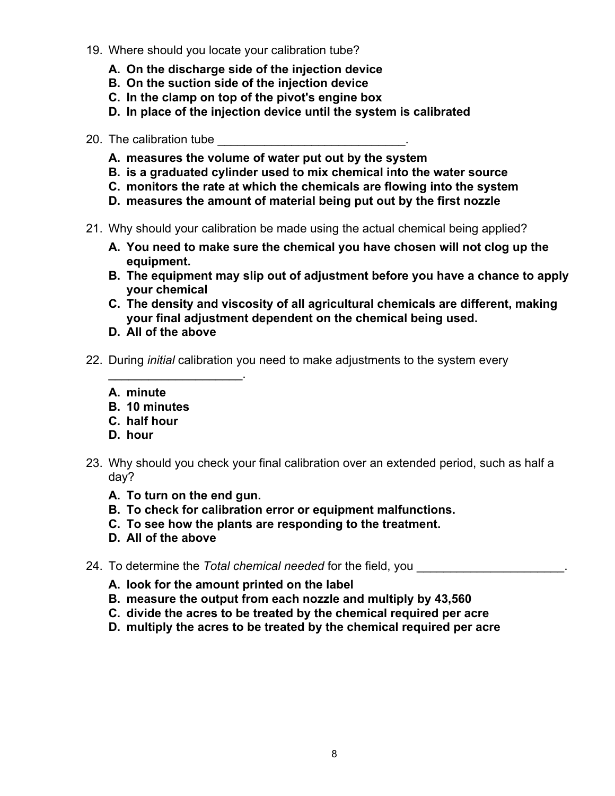- 19. Where should you locate your calibration tube?
	- **A. On the discharge side of the injection device**
	- **B. On the suction side of the injection device**
	- **C. In the clamp on top of the pivot's engine box**
	- **D. In place of the injection device until the system is calibrated**
- 20. The calibration tube
	- **A. measures the volume of water put out by the system**
	- **B. is a graduated cylinder used to mix chemical into the water source**
	- **C. monitors the rate at which the chemicals are flowing into the system**
	- **D. measures the amount of material being put out by the first nozzle**
- 21. Why should your calibration be made using the actual chemical being applied?
	- **A. You need to make sure the chemical you have chosen will not clog up the equipment.**
	- **B. The equipment may slip out of adjustment before you have a chance to apply your chemical**
	- **C. The density and viscosity of all agricultural chemicals are different, making your final adjustment dependent on the chemical being used.**
	- **D. All of the above**

 $\mathcal{L}_\text{max}$  , we have the set of the set of the set of the set of the set of the set of the set of the set of the set of the set of the set of the set of the set of the set of the set of the set of the set of the set of

- 22. During *initial* calibration you need to make adjustments to the system every
	- **A. minute**
	- **B. 10 minutes**
	- **C. half hour**
	- **D. hour**
- 23. Why should you check your final calibration over an extended period, such as half a day?
	- **A. To turn on the end gun.**
	- **B. To check for calibration error or equipment malfunctions.**
	- **C. To see how the plants are responding to the treatment.**
	- **D. All of the above**
- 24. To determine the *Total chemical needed* for the field, you **with all and the** *Total chemical* needed for the field, you
	- **A. look for the amount printed on the label**
	- **B. measure the output from each nozzle and multiply by 43,560**
	- **C. divide the acres to be treated by the chemical required per acre**
	- **D. multiply the acres to be treated by the chemical required per acre**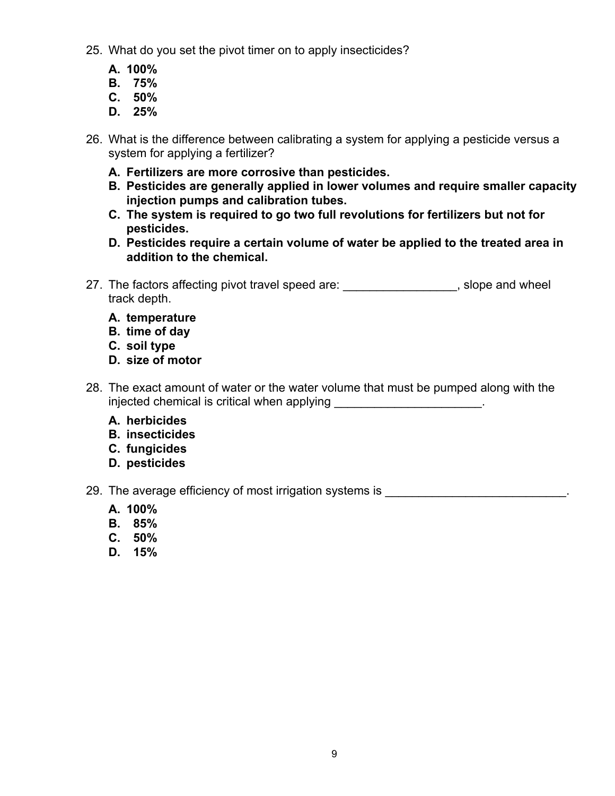- 25. What do you set the pivot timer on to apply insecticides?
	- **A. 100%**
	- **B. 75%**
	- **C. 50%**
	- **D. 25%**
- 26. What is the difference between calibrating a system for applying a pesticide versus a system for applying a fertilizer?
	- **A. Fertilizers are more corrosive than pesticides.**
	- **B. Pesticides are generally applied in lower volumes and require smaller capacity injection pumps and calibration tubes.**
	- **C. The system is required to go two full revolutions for fertilizers but not for pesticides.**
	- **D. Pesticides require a certain volume of water be applied to the treated area in addition to the chemical.**
- 27. The factors affecting pivot travel speed are: significantly slope and wheel track depth.
	- **A. temperature**
	- **B. time of day**
	- **C. soil type**
	- **D. size of motor**
- 28. The exact amount of water or the water volume that must be pumped along with the injected chemical is critical when applying **EXECUTE:** The contract of the contract of the contract of the contra
	- **A. herbicides**
	- **B. insecticides**
	- **C. fungicides**
	- **D. pesticides**

29. The average efficiency of most irrigation systems is \_\_\_\_\_\_\_\_\_\_\_\_\_\_\_\_\_\_\_\_\_\_\_

- **A. 100%**
- **B. 85%**
- **C. 50%**
- **D. 15%**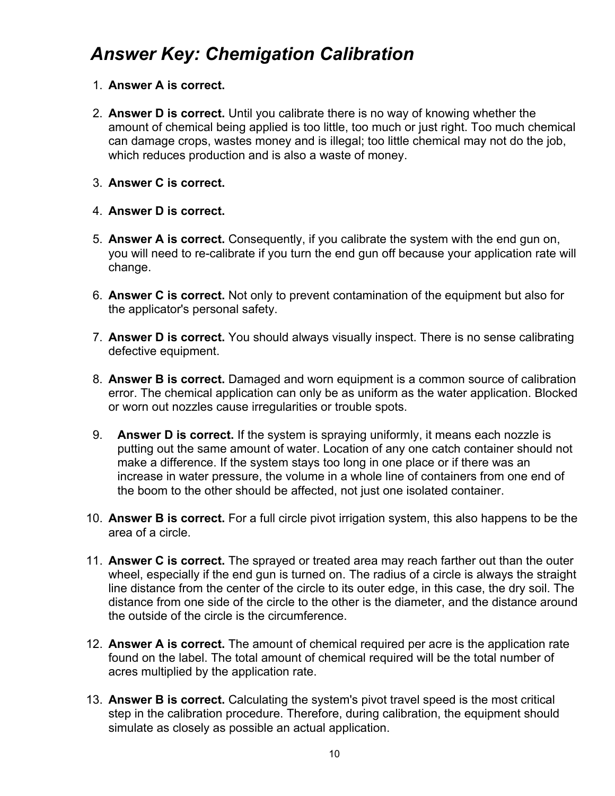## *Answer Key: Chemigation Calibration*

- 1. **Answer A is correct.**
- 2. **Answer D is correct.** Until you calibrate there is no way of knowing whether the amount of chemical being applied is too little, too much or just right. Too much chemical can damage crops, wastes money and is illegal; too little chemical may not do the job, which reduces production and is also a waste of money.
- 3. **Answer C is correct.**
- 4. **Answer D is correct.**
- 5. **Answer A is correct.** Consequently, if you calibrate the system with the end gun on, you will need to re-calibrate if you turn the end gun off because your application rate will change.
- 6. **Answer C is correct.** Not only to prevent contamination of the equipment but also for the applicator's personal safety.
- 7. **Answer D is correct.** You should always visually inspect. There is no sense calibrating defective equipment.
- 8. **Answer B is correct.** Damaged and worn equipment is a common source of calibration error. The chemical application can only be as uniform as the water application. Blocked or worn out nozzles cause irregularities or trouble spots.
- 9. **Answer D is correct.** If the system is spraying uniformly, it means each nozzle is putting out the same amount of water. Location of any one catch container should not make a difference. If the system stays too long in one place or if there was an increase in water pressure, the volume in a whole line of containers from one end of the boom to the other should be affected, not just one isolated container.
- 10. **Answer B is correct.** For a full circle pivot irrigation system, this also happens to be the area of a circle.
- 11. **Answer C is correct.** The sprayed or treated area may reach farther out than the outer wheel, especially if the end gun is turned on. The radius of a circle is always the straight line distance from the center of the circle to its outer edge, in this case, the dry soil. The distance from one side of the circle to the other is the diameter, and the distance around the outside of the circle is the circumference.
- 12. **Answer A is correct.** The amount of chemical required per acre is the application rate found on the label. The total amount of chemical required will be the total number of acres multiplied by the application rate.
- 13. **Answer B is correct.** Calculating the system's pivot travel speed is the most critical step in the calibration procedure. Therefore, during calibration, the equipment should simulate as closely as possible an actual application.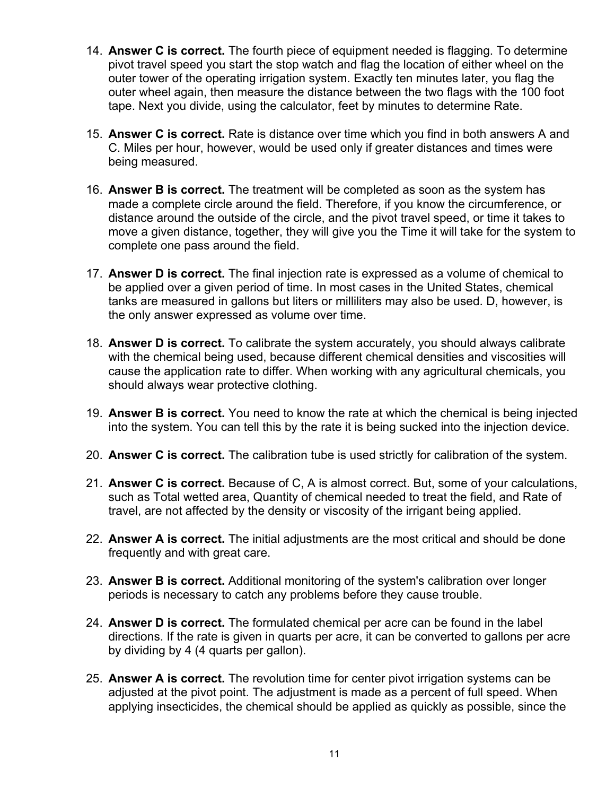- 14. **Answer C is correct.** The fourth piece of equipment needed is flagging. To determine pivot travel speed you start the stop watch and flag the location of either wheel on the outer tower of the operating irrigation system. Exactly ten minutes later, you flag the outer wheel again, then measure the distance between the two flags with the 100 foot tape. Next you divide, using the calculator, feet by minutes to determine Rate.
- 15. **Answer C is correct.** Rate is distance over time which you find in both answers A and C. Miles per hour, however, would be used only if greater distances and times were being measured.
- 16. **Answer B is correct.** The treatment will be completed as soon as the system has made a complete circle around the field. Therefore, if you know the circumference, or distance around the outside of the circle, and the pivot travel speed, or time it takes to move a given distance, together, they will give you the Time it will take for the system to complete one pass around the field.
- 17. **Answer D is correct.** The final injection rate is expressed as a volume of chemical to be applied over a given period of time. In most cases in the United States, chemical tanks are measured in gallons but liters or milliliters may also be used. D, however, is the only answer expressed as volume over time.
- 18. **Answer D is correct.** To calibrate the system accurately, you should always calibrate with the chemical being used, because different chemical densities and viscosities will cause the application rate to differ. When working with any agricultural chemicals, you should always wear protective clothing.
- 19. **Answer B is correct.** You need to know the rate at which the chemical is being injected into the system. You can tell this by the rate it is being sucked into the injection device.
- 20. **Answer C is correct.** The calibration tube is used strictly for calibration of the system.
- 21. **Answer C is correct.** Because of C, A is almost correct. But, some of your calculations, such as Total wetted area, Quantity of chemical needed to treat the field, and Rate of travel, are not affected by the density or viscosity of the irrigant being applied.
- 22. **Answer A is correct.** The initial adjustments are the most critical and should be done frequently and with great care.
- 23. **Answer B is correct.** Additional monitoring of the system's calibration over longer periods is necessary to catch any problems before they cause trouble.
- 24. **Answer D is correct.** The formulated chemical per acre can be found in the label directions. If the rate is given in quarts per acre, it can be converted to gallons per acre by dividing by 4 (4 quarts per gallon).
- 25. **Answer A is correct.** The revolution time for center pivot irrigation systems can be adjusted at the pivot point. The adjustment is made as a percent of full speed. When applying insecticides, the chemical should be applied as quickly as possible, since the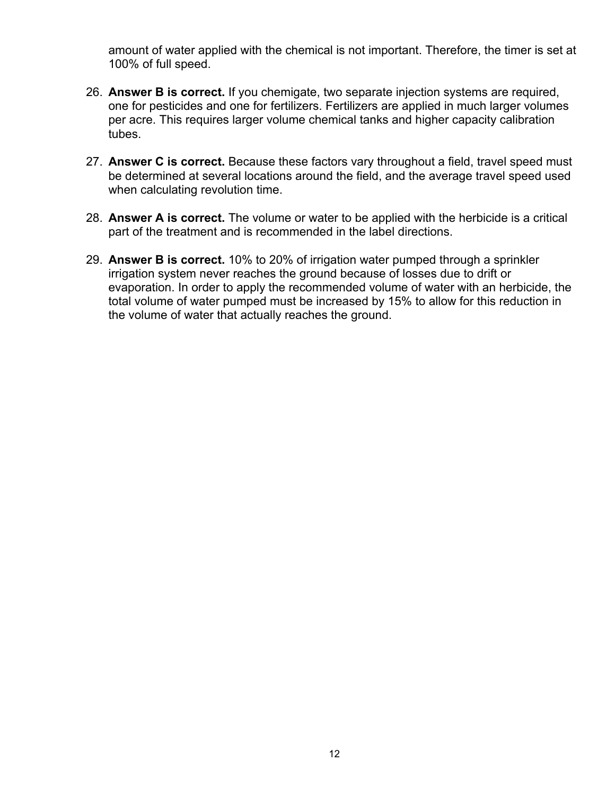amount of water applied with the chemical is not important. Therefore, the timer is set at 100% of full speed.

- 26. **Answer B is correct.** If you chemigate, two separate injection systems are required, one for pesticides and one for fertilizers. Fertilizers are applied in much larger volumes per acre. This requires larger volume chemical tanks and higher capacity calibration tubes.
- 27. **Answer C is correct.** Because these factors vary throughout a field, travel speed must be determined at several locations around the field, and the average travel speed used when calculating revolution time.
- 28. **Answer A is correct.** The volume or water to be applied with the herbicide is a critical part of the treatment and is recommended in the label directions.
- 29. **Answer B is correct.** 10% to 20% of irrigation water pumped through a sprinkler irrigation system never reaches the ground because of losses due to drift or evaporation. In order to apply the recommended volume of water with an herbicide, the total volume of water pumped must be increased by 15% to allow for this reduction in the volume of water that actually reaches the ground.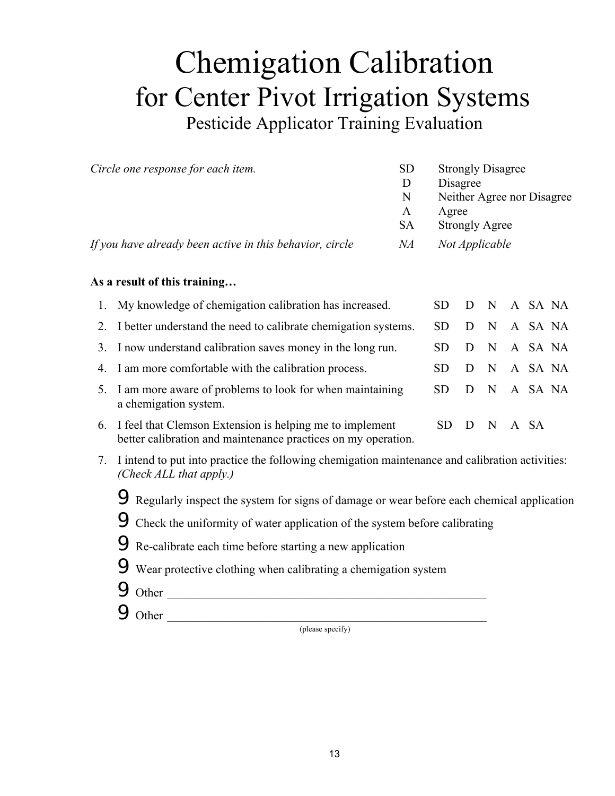## Chemigation Calibration for Center Pivot Irrigation Systems Pesticide Applicator Training Evaluation

| Circle one response for each item.                               |                                                                                                                            |           | <b>Strongly Disagree</b><br>Disagree<br>Neither Agree nor Disagree<br>Agree<br><b>Strongly Agree</b> |             |             |      |         |         |
|------------------------------------------------------------------|----------------------------------------------------------------------------------------------------------------------------|-----------|------------------------------------------------------------------------------------------------------|-------------|-------------|------|---------|---------|
| If you have already been active in this behavior, circle         |                                                                                                                            |           | Not Applicable                                                                                       |             |             |      |         |         |
|                                                                  | As a result of this training                                                                                               |           |                                                                                                      |             |             |      |         |         |
| 1.                                                               | My knowledge of chemigation calibration has increased.                                                                     |           |                                                                                                      |             | N           |      |         | A SA NA |
| 2.                                                               | I better understand the need to calibrate chemigation systems.                                                             |           |                                                                                                      |             | N           |      | A SA NA |         |
| 3.                                                               | I now understand calibration saves money in the long run.                                                                  |           |                                                                                                      |             | N           |      |         | A SA NA |
| 4.                                                               | I am more comfortable with the calibration process.                                                                        |           |                                                                                                      |             | $\mathbf N$ |      | A SA NA |         |
| 5.                                                               | I am more aware of problems to look for when maintaining<br>a chemigation system.                                          | <b>SD</b> | D                                                                                                    | $\mathbf N$ |             |      | A SA NA |         |
| 6.                                                               | I feel that Clemson Extension is helping me to implement<br>better calibration and maintenance practices on my operation.  | <b>SD</b> | D                                                                                                    | N           |             | A SA |         |         |
| 7.                                                               | I intend to put into practice the following chemigation maintenance and calibration activities:<br>(Check ALL that apply.) |           |                                                                                                      |             |             |      |         |         |
|                                                                  | 9 Regularly inspect the system for signs of damage or wear before each chemical application                                |           |                                                                                                      |             |             |      |         |         |
|                                                                  | $\Theta$ Check the uniformity of water application of the system before calibrating                                        |           |                                                                                                      |             |             |      |         |         |
|                                                                  | Re-calibrate each time before starting a new application                                                                   |           |                                                                                                      |             |             |      |         |         |
| 9 Wear protective clothing when calibrating a chemigation system |                                                                                                                            |           |                                                                                                      |             |             |      |         |         |
|                                                                  |                                                                                                                            |           |                                                                                                      |             |             |      |         |         |
|                                                                  | $9$ Other<br>9<br>Other                                                                                                    |           |                                                                                                      |             |             |      |         |         |
|                                                                  | <u> 2002 - Jan Barnett, fransk politik (d. 1882)</u><br>( please specify)                                                  |           |                                                                                                      |             |             |      |         |         |